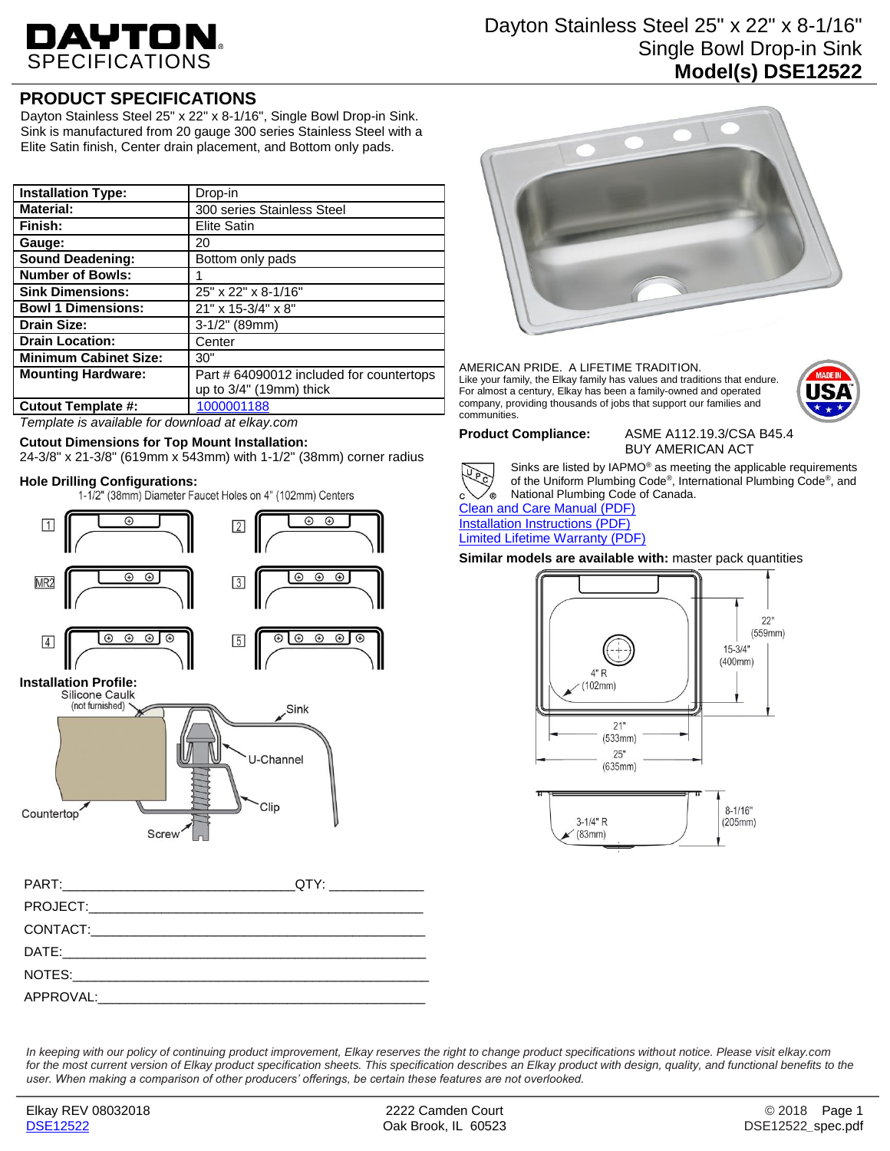# DAYTON SPECIFICATIONS

## Dayton Stainless Steel 25" x 22" x 8-1/16" Single Bowl Drop-in Sink **Model(s) DSE12522**

## **PRODUCT SPECIFICATIONS**

Dayton Stainless Steel 25" x 22" x 8-1/16", Single Bowl Drop-in Sink. Sink is manufactured from 20 gauge 300 series Stainless Steel with a Elite Satin finish, Center drain placement, and Bottom only pads.

| <b>Installation Type:</b>    | Drop-in                                  |
|------------------------------|------------------------------------------|
| <b>Material:</b>             | 300 series Stainless Steel               |
| Finish:                      | <b>Elite Satin</b>                       |
| Gauge:                       | 20                                       |
| <b>Sound Deadening:</b>      | Bottom only pads                         |
| <b>Number of Bowls:</b>      |                                          |
| <b>Sink Dimensions:</b>      | 25" x 22" x 8-1/16"                      |
| <b>Bowl 1 Dimensions:</b>    | 21" x 15-3/4" x 8"                       |
| <b>Drain Size:</b>           | 3-1/2" (89mm)                            |
| <b>Drain Location:</b>       | Center                                   |
| <b>Minimum Cabinet Size:</b> | 30"                                      |
| <b>Mounting Hardware:</b>    | Part # 64090012 included for countertops |
|                              | up to $3/4$ " (19mm) thick               |
| Cutout Template #:           | 1000001188                               |

*Template is available for download at elkay.com*

### **Cutout Dimensions for Top Mount Installation:**

24-3/8" x 21-3/8" (619mm x 543mm) with 1-1/2" (38mm) corner radius

**Hole Drilling Configurations:**<br>1-1/2" (38mm) Diameter Faucet Holes on 4" (102mm) Centers





### AMERICAN PRIDE. A LIFETIME TRADITION. Like your family, the Elkay family has values and traditions that endure. For almost a century, Elkay has been a family-owned and operated company, providing thousands of jobs that support our families and communities.



**Product Compliance:** ASME A112.19.3/CSA B45.4 BUY AMERICAN ACT



Sinks are listed by IAPMO® as meeting the applicable requirements of the Uniform Plumbing Code® , International Plumbing Code® , and National Plumbing Code of Canada.

[Clean and Care Manual \(PDF\)](http://www.elkay.com/wcsstore/lkdocs/care-cleaning-install-warranty-sheets/residential%20and%20commercial%20care%20%20cleaning.pdf) [Installation Instructions \(PDF\)](http://www.elkay.com/wcsstore/lkdocs/care-cleaning-install-warranty-sheets/64180036.pdf) [Limited Lifetime Warranty](http://www.elkay.com/wcsstore/lkdocs/care-cleaning-install-warranty-sheets/residential%20sinks%20warranty.pdf) (PDF)

**Similar models are available with:** master pack quantities



*In keeping with our policy of continuing product improvement, Elkay reserves the right to change product specifications without notice. Please visit elkay.com*  for the most current version of Elkay product specification sheets. This specification describes an Elkay product with design, quality, and functional benefits to the *user. When making a comparison of other producers' offerings, be certain these features are not overlooked.*